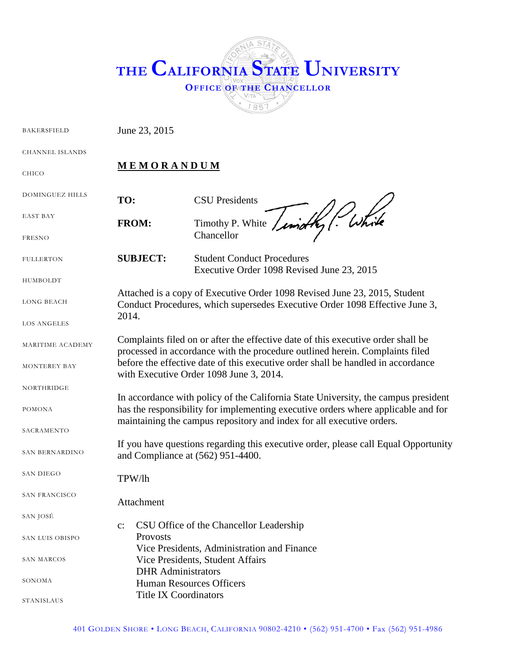

BAKERSFIELD June 23, 2015

CHANNEL ISLANDS

CHICO

**M E M O R A N D U M**

| <b>DOMINGUEZ HILLS</b> | TO:                                                                                                                                                                                                                                                                                             | <b>CSU</b> Presidents                                                                  |
|------------------------|-------------------------------------------------------------------------------------------------------------------------------------------------------------------------------------------------------------------------------------------------------------------------------------------------|----------------------------------------------------------------------------------------|
| <b>EAST BAY</b>        | <b>FROM:</b>                                                                                                                                                                                                                                                                                    | / While<br>Timothy P. White / und                                                      |
| <b>FRESNO</b>          |                                                                                                                                                                                                                                                                                                 | Chancellor                                                                             |
| <b>FULLERTON</b>       | <b>SUBJECT:</b>                                                                                                                                                                                                                                                                                 | <b>Student Conduct Procedures</b><br>Executive Order 1098 Revised June 23, 2015        |
| HUMBOLDT               |                                                                                                                                                                                                                                                                                                 |                                                                                        |
| <b>LONG BEACH</b>      | Attached is a copy of Executive Order 1098 Revised June 23, 2015, Student<br>Conduct Procedures, which supersedes Executive Order 1098 Effective June 3,<br>2014.                                                                                                                               |                                                                                        |
| <b>LOS ANGELES</b>     |                                                                                                                                                                                                                                                                                                 |                                                                                        |
| MARITIME ACADEMY       | Complaints filed on or after the effective date of this executive order shall be<br>processed in accordance with the procedure outlined herein. Complaints filed<br>before the effective date of this executive order shall be handled in accordance<br>with Executive Order 1098 June 3, 2014. |                                                                                        |
| <b>MONTEREY BAY</b>    |                                                                                                                                                                                                                                                                                                 |                                                                                        |
| <b>NORTHRIDGE</b>      |                                                                                                                                                                                                                                                                                                 |                                                                                        |
| <b>POMONA</b>          | In accordance with policy of the California State University, the campus president<br>has the responsibility for implementing executive orders where applicable and for<br>maintaining the campus repository and index for all executive orders.                                                |                                                                                        |
| SACRAMENTO             |                                                                                                                                                                                                                                                                                                 |                                                                                        |
| SAN BERNARDINO         | If you have questions regarding this executive order, please call Equal Opportunity<br>and Compliance at (562) 951-4400.                                                                                                                                                                        |                                                                                        |
| <b>SAN DIEGO</b>       | TPW/lh                                                                                                                                                                                                                                                                                          |                                                                                        |
| SAN FRANCISCO          | Attachment                                                                                                                                                                                                                                                                                      |                                                                                        |
| SAN JOSÉ               |                                                                                                                                                                                                                                                                                                 |                                                                                        |
| SAN LUIS OBISPO        | $\mathbf{c}$ :<br>Provosts                                                                                                                                                                                                                                                                      | CSU Office of the Chancellor Leadership<br>Vice Presidents, Administration and Finance |
| <b>SAN MARCOS</b>      | <b>DHR</b> Administrators                                                                                                                                                                                                                                                                       | Vice Presidents, Student Affairs                                                       |
| SONOMA                 | <b>Human Resources Officers</b>                                                                                                                                                                                                                                                                 |                                                                                        |
| STANISLAUS             | <b>Title IX Coordinators</b>                                                                                                                                                                                                                                                                    |                                                                                        |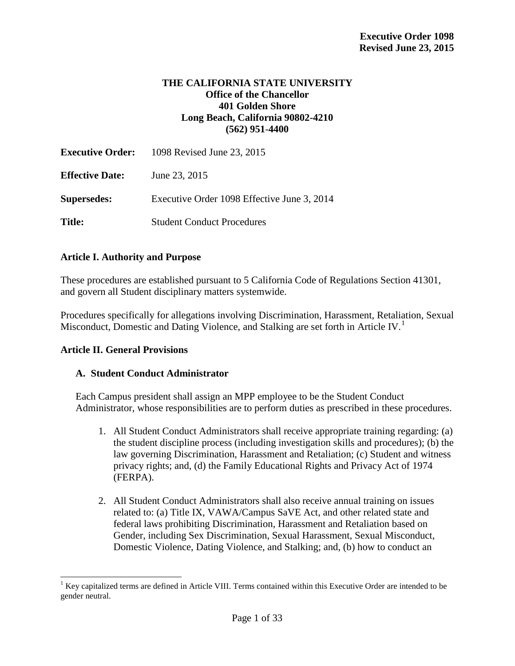## **THE CALIFORNIA STATE UNIVERSITY Office of the Chancellor 401 Golden Shore Long Beach, California 90802-4210 (562) 951**-**4400**

|                        | <b>Executive Order:</b> 1098 Revised June 23, 2015 |
|------------------------|----------------------------------------------------|
| <b>Effective Date:</b> | June 23, 2015                                      |
| <b>Supersedes:</b>     | Executive Order 1098 Effective June 3, 2014        |
| <b>Title:</b>          | <b>Student Conduct Procedures</b>                  |

#### **Article I. Authority and Purpose**

These procedures are established pursuant to 5 California Code of Regulations Section 41301, and govern all Student disciplinary matters systemwide.

Procedures specifically for allegations involving Discrimination, Harassment, Retaliation, Sexual Misconduct, Domestic and Dating Violence, and Stalking are set forth in Article IV.<sup>[1](#page-33-0)</sup>

#### **Article II. General Provisions**

#### **A. Student Conduct Administrator**

Each Campus president shall assign an MPP employee to be the Student Conduct Administrator, whose responsibilities are to perform duties as prescribed in these procedures.

- 1. All Student Conduct Administrators shall receive appropriate training regarding: (a) the student discipline process (including investigation skills and procedures); (b) the law governing Discrimination, Harassment and Retaliation; (c) Student and witness privacy rights; and, (d) the Family Educational Rights and Privacy Act of 1974 (FERPA).
- 2. All Student Conduct Administrators shall also receive annual training on issues related to: (a) Title IX, VAWA/Campus SaVE Act, and other related state and federal laws prohibiting Discrimination, Harassment and Retaliation based on Gender, including Sex Discrimination, Sexual Harassment, Sexual Misconduct, Domestic Violence, Dating Violence, and Stalking; and, (b) how to conduct an

<span id="page-1-0"></span> $1$  Key capitalized terms are defined in Article VIII. Terms contained within this Executive Order are intended to be gender neutral.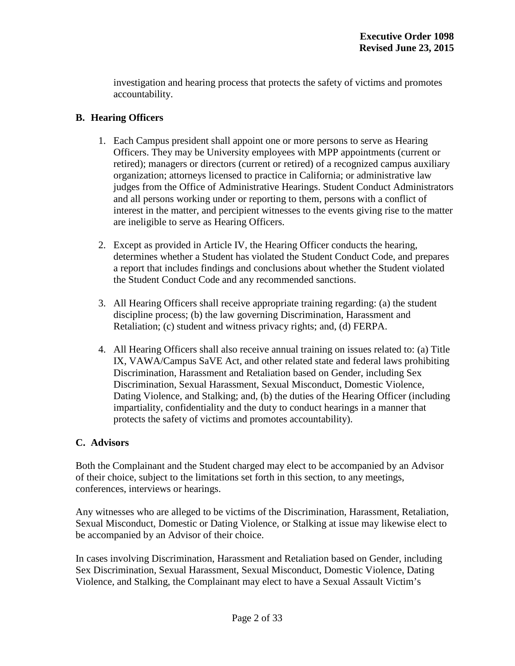investigation and hearing process that protects the safety of victims and promotes accountability.

## **B. Hearing Officers**

- 1. Each Campus president shall appoint one or more persons to serve as Hearing Officers. They may be University employees with MPP appointments (current or retired); managers or directors (current or retired) of a recognized campus auxiliary organization; attorneys licensed to practice in California; or administrative law judges from the Office of Administrative Hearings. Student Conduct Administrators and all persons working under or reporting to them, persons with a conflict of interest in the matter, and percipient witnesses to the events giving rise to the matter are ineligible to serve as Hearing Officers.
- 2. Except as provided in Article IV, the Hearing Officer conducts the hearing, determines whether a Student has violated the Student Conduct Code, and prepares a report that includes findings and conclusions about whether the Student violated the Student Conduct Code and any recommended sanctions.
- 3. All Hearing Officers shall receive appropriate training regarding: (a) the student discipline process; (b) the law governing Discrimination, Harassment and Retaliation; (c) student and witness privacy rights; and, (d) FERPA.
- 4. All Hearing Officers shall also receive annual training on issues related to: (a) Title IX, VAWA/Campus SaVE Act, and other related state and federal laws prohibiting Discrimination, Harassment and Retaliation based on Gender, including Sex Discrimination, Sexual Harassment, Sexual Misconduct, Domestic Violence, Dating Violence, and Stalking; and, (b) the duties of the Hearing Officer (including impartiality, confidentiality and the duty to conduct hearings in a manner that protects the safety of victims and promotes accountability).

# **C. Advisors**

Both the Complainant and the Student charged may elect to be accompanied by an Advisor of their choice, subject to the limitations set forth in this section, to any meetings, conferences, interviews or hearings.

Any witnesses who are alleged to be victims of the Discrimination, Harassment, Retaliation, Sexual Misconduct, Domestic or Dating Violence, or Stalking at issue may likewise elect to be accompanied by an Advisor of their choice.

In cases involving Discrimination, Harassment and Retaliation based on Gender, including Sex Discrimination, Sexual Harassment, Sexual Misconduct, Domestic Violence, Dating Violence, and Stalking, the Complainant may elect to have a Sexual Assault Victim's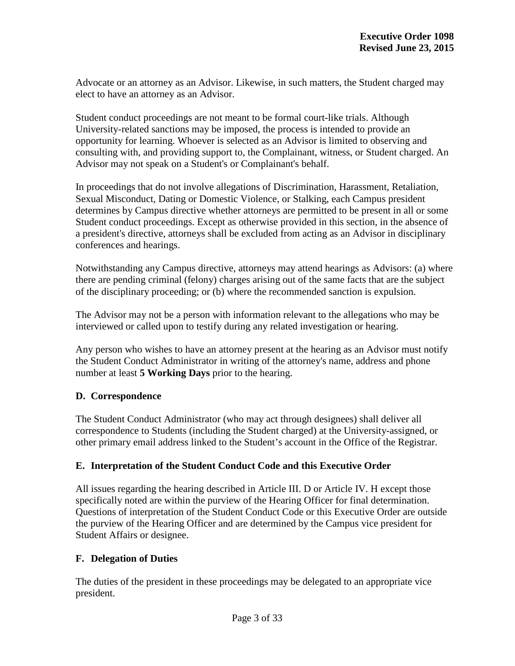Advocate or an attorney as an Advisor. Likewise, in such matters, the Student charged may elect to have an attorney as an Advisor.

Student conduct proceedings are not meant to be formal court-like trials. Although University-related sanctions may be imposed, the process is intended to provide an opportunity for learning. Whoever is selected as an Advisor is limited to observing and consulting with, and providing support to, the Complainant, witness, or Student charged. An Advisor may not speak on a Student's or Complainant's behalf.

In proceedings that do not involve allegations of Discrimination, Harassment, Retaliation, Sexual Misconduct, Dating or Domestic Violence, or Stalking, each Campus president determines by Campus directive whether attorneys are permitted to be present in all or some Student conduct proceedings. Except as otherwise provided in this section, in the absence of a president's directive, attorneys shall be excluded from acting as an Advisor in disciplinary conferences and hearings.

Notwithstanding any Campus directive, attorneys may attend hearings as Advisors: (a) where there are pending criminal (felony) charges arising out of the same facts that are the subject of the disciplinary proceeding; or (b) where the recommended sanction is expulsion.

The Advisor may not be a person with information relevant to the allegations who may be interviewed or called upon to testify during any related investigation or hearing.

Any person who wishes to have an attorney present at the hearing as an Advisor must notify the Student Conduct Administrator in writing of the attorney's name, address and phone number at least **5 Working Days** prior to the hearing.

# **D. Correspondence**

The Student Conduct Administrator (who may act through designees) shall deliver all correspondence to Students (including the Student charged) at the University-assigned, or other primary email address linked to the Student's account in the Office of the Registrar.

# **E. Interpretation of the Student Conduct Code and this Executive Order**

All issues regarding the hearing described in Article III. D or Article IV. H except those specifically noted are within the purview of the Hearing Officer for final determination. Questions of interpretation of the Student Conduct Code or this Executive Order are outside the purview of the Hearing Officer and are determined by the Campus vice president for Student Affairs or designee.

# **F. Delegation of Duties**

The duties of the president in these proceedings may be delegated to an appropriate vice president.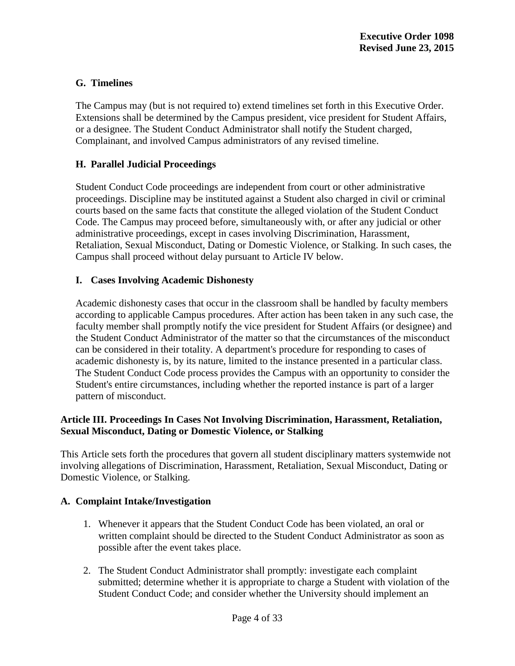# **G. Timelines**

The Campus may (but is not required to) extend timelines set forth in this Executive Order. Extensions shall be determined by the Campus president, vice president for Student Affairs, or a designee. The Student Conduct Administrator shall notify the Student charged, Complainant, and involved Campus administrators of any revised timeline.

# **H. Parallel Judicial Proceedings**

Student Conduct Code proceedings are independent from court or other administrative proceedings. Discipline may be instituted against a Student also charged in civil or criminal courts based on the same facts that constitute the alleged violation of the Student Conduct Code. The Campus may proceed before, simultaneously with, or after any judicial or other administrative proceedings, except in cases involving Discrimination, Harassment, Retaliation, Sexual Misconduct, Dating or Domestic Violence, or Stalking. In such cases, the Campus shall proceed without delay pursuant to Article IV below.

# **I. Cases Involving Academic Dishonesty**

Academic dishonesty cases that occur in the classroom shall be handled by faculty members according to applicable Campus procedures. After action has been taken in any such case, the faculty member shall promptly notify the vice president for Student Affairs (or designee) and the Student Conduct Administrator of the matter so that the circumstances of the misconduct can be considered in their totality. A department's procedure for responding to cases of academic dishonesty is, by its nature, limited to the instance presented in a particular class. The Student Conduct Code process provides the Campus with an opportunity to consider the Student's entire circumstances, including whether the reported instance is part of a larger pattern of misconduct.

# **Article III. Proceedings In Cases Not Involving Discrimination, Harassment, Retaliation, Sexual Misconduct, Dating or Domestic Violence, or Stalking**

This Article sets forth the procedures that govern all student disciplinary matters systemwide not involving allegations of Discrimination, Harassment, Retaliation, Sexual Misconduct, Dating or Domestic Violence, or Stalking.

# **A. Complaint Intake/Investigation**

- 1. Whenever it appears that the Student Conduct Code has been violated, an oral or written complaint should be directed to the Student Conduct Administrator as soon as possible after the event takes place.
- 2. The Student Conduct Administrator shall promptly: investigate each complaint submitted; determine whether it is appropriate to charge a Student with violation of the Student Conduct Code; and consider whether the University should implement an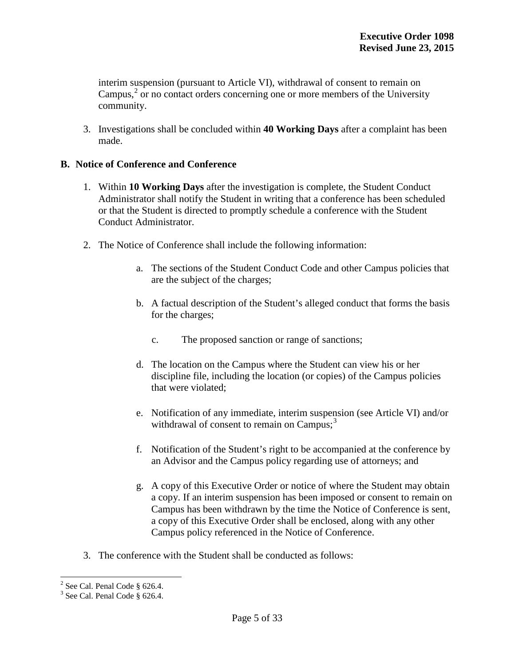interim suspension (pursuant to Article VI), withdrawal of consent to remain on Campus, $2$  or no contact orders concerning one or more members of the University community.

3. Investigations shall be concluded within **40 Working Days** after a complaint has been made.

## **B. Notice of Conference and Conference**

- 1. Within **10 Working Days** after the investigation is complete, the Student Conduct Administrator shall notify the Student in writing that a conference has been scheduled or that the Student is directed to promptly schedule a conference with the Student Conduct Administrator.
- 2. The Notice of Conference shall include the following information:
	- a. The sections of the Student Conduct Code and other Campus policies that are the subject of the charges;
	- b. A factual description of the Student's alleged conduct that forms the basis for the charges;
		- c. The proposed sanction or range of sanctions;
	- d. The location on the Campus where the Student can view his or her discipline file, including the location (or copies) of the Campus policies that were violated;
	- e. Notification of any immediate, interim suspension (see Article VI) and/or withdrawal of consent to remain on Campus;<sup>[3](#page-5-0)</sup>
	- f. Notification of the Student's right to be accompanied at the conference by an Advisor and the Campus policy regarding use of attorneys; and
	- g. A copy of this Executive Order or notice of where the Student may obtain a copy. If an interim suspension has been imposed or consent to remain on Campus has been withdrawn by the time the Notice of Conference is sent, a copy of this Executive Order shall be enclosed, along with any other Campus policy referenced in the Notice of Conference.
- 3. The conference with the Student shall be conducted as follows:

<span id="page-5-0"></span><sup>&</sup>lt;sup>2</sup> See Cal. Penal Code § 626.4.<br><sup>3</sup> See Cal. Penal Code § 626.4.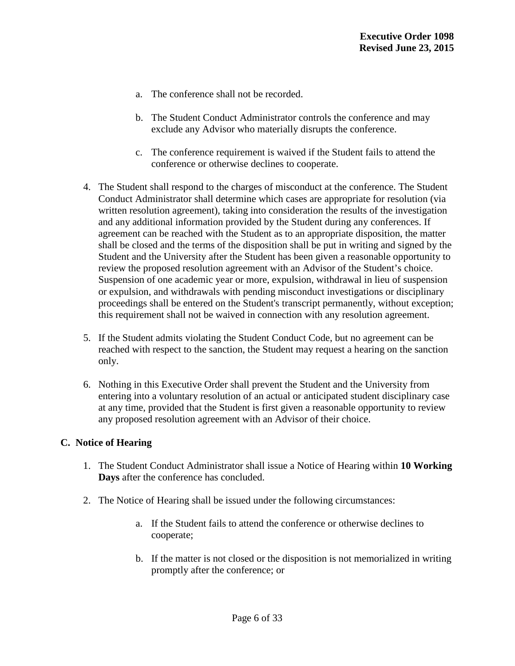- a. The conference shall not be recorded.
- b. The Student Conduct Administrator controls the conference and may exclude any Advisor who materially disrupts the conference.
- c. The conference requirement is waived if the Student fails to attend the conference or otherwise declines to cooperate.
- 4. The Student shall respond to the charges of misconduct at the conference. The Student Conduct Administrator shall determine which cases are appropriate for resolution (via written resolution agreement), taking into consideration the results of the investigation and any additional information provided by the Student during any conferences. If agreement can be reached with the Student as to an appropriate disposition, the matter shall be closed and the terms of the disposition shall be put in writing and signed by the Student and the University after the Student has been given a reasonable opportunity to review the proposed resolution agreement with an Advisor of the Student's choice. Suspension of one academic year or more, expulsion, withdrawal in lieu of suspension or expulsion, and withdrawals with pending misconduct investigations or disciplinary proceedings shall be entered on the Student's transcript permanently, without exception; this requirement shall not be waived in connection with any resolution agreement.
- 5. If the Student admits violating the Student Conduct Code, but no agreement can be reached with respect to the sanction, the Student may request a hearing on the sanction only.
- 6. Nothing in this Executive Order shall prevent the Student and the University from entering into a voluntary resolution of an actual or anticipated student disciplinary case at any time, provided that the Student is first given a reasonable opportunity to review any proposed resolution agreement with an Advisor of their choice.

#### **C. Notice of Hearing**

- 1. The Student Conduct Administrator shall issue a Notice of Hearing within **10 Working Days** after the conference has concluded.
- 2. The Notice of Hearing shall be issued under the following circumstances:
	- a. If the Student fails to attend the conference or otherwise declines to cooperate;
	- b. If the matter is not closed or the disposition is not memorialized in writing promptly after the conference; or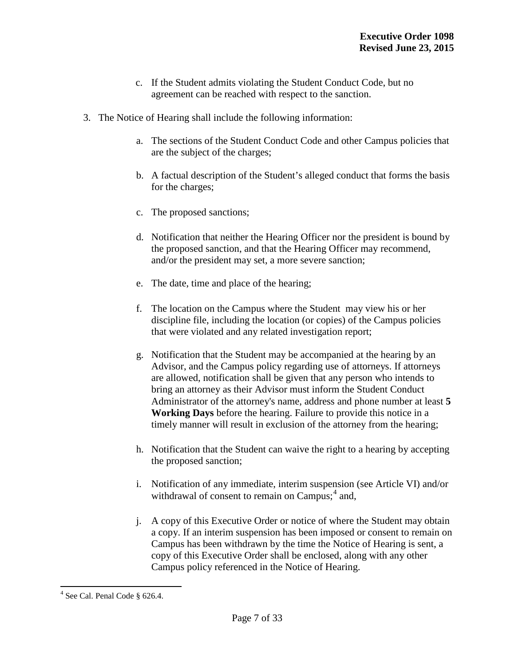- c. If the Student admits violating the Student Conduct Code, but no agreement can be reached with respect to the sanction.
- 3. The Notice of Hearing shall include the following information:
	- a. The sections of the Student Conduct Code and other Campus policies that are the subject of the charges;
	- b. A factual description of the Student's alleged conduct that forms the basis for the charges;
	- c. The proposed sanctions;
	- d. Notification that neither the Hearing Officer nor the president is bound by the proposed sanction, and that the Hearing Officer may recommend, and/or the president may set, a more severe sanction;
	- e. The date, time and place of the hearing;
	- f. The location on the Campus where the Student may view his or her discipline file, including the location (or copies) of the Campus policies that were violated and any related investigation report;
	- g. Notification that the Student may be accompanied at the hearing by an Advisor, and the Campus policy regarding use of attorneys. If attorneys are allowed, notification shall be given that any person who intends to bring an attorney as their Advisor must inform the Student Conduct Administrator of the attorney's name, address and phone number at least **5 Working Days** before the hearing. Failure to provide this notice in a timely manner will result in exclusion of the attorney from the hearing;
	- h. Notification that the Student can waive the right to a hearing by accepting the proposed sanction;
	- i. Notification of any immediate, interim suspension (see Article VI) and/or withdrawal of consent to remain on  $Campus$ ;  $4$  and,
	- j. A copy of this Executive Order or notice of where the Student may obtain a copy. If an interim suspension has been imposed or consent to remain on Campus has been withdrawn by the time the Notice of Hearing is sent, a copy of this Executive Order shall be enclosed, along with any other Campus policy referenced in the Notice of Hearing.

<span id="page-7-0"></span><sup>4</sup> See Cal. Penal Code § 626.4.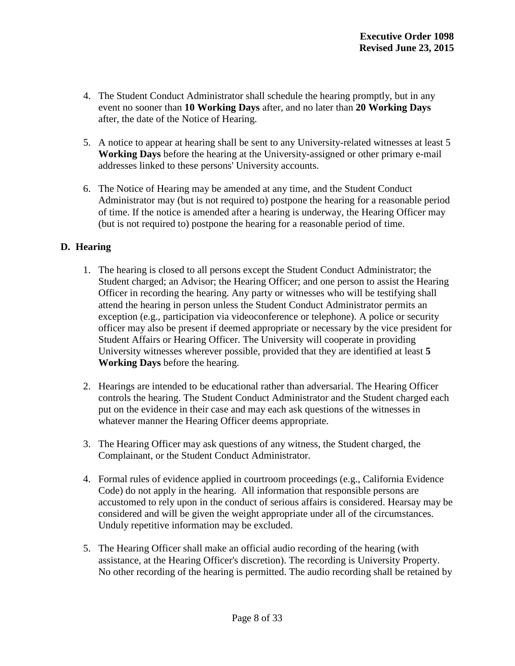- 4. The Student Conduct Administrator shall schedule the hearing promptly, but in any event no sooner than **10 Working Days** after, and no later than **20 Working Days** after, the date of the Notice of Hearing.
- 5. A notice to appear at hearing shall be sent to any University-related witnesses at least 5 **Working Days** before the hearing at the University-assigned or other primary e-mail addresses linked to these persons' University accounts.
- 6. The Notice of Hearing may be amended at any time, and the Student Conduct Administrator may (but is not required to) postpone the hearing for a reasonable period of time. If the notice is amended after a hearing is underway, the Hearing Officer may (but is not required to) postpone the hearing for a reasonable period of time.

# **D. Hearing**

- 1. The hearing is closed to all persons except the Student Conduct Administrator; the Student charged; an Advisor; the Hearing Officer; and one person to assist the Hearing Officer in recording the hearing. Any party or witnesses who will be testifying shall attend the hearing in person unless the Student Conduct Administrator permits an exception (e.g., participation via videoconference or telephone). A police or security officer may also be present if deemed appropriate or necessary by the vice president for Student Affairs or Hearing Officer. The University will cooperate in providing University witnesses wherever possible, provided that they are identified at least **5 Working Days** before the hearing.
- 2. Hearings are intended to be educational rather than adversarial. The Hearing Officer controls the hearing. The Student Conduct Administrator and the Student charged each put on the evidence in their case and may each ask questions of the witnesses in whatever manner the Hearing Officer deems appropriate.
- 3. The Hearing Officer may ask questions of any witness, the Student charged, the Complainant, or the Student Conduct Administrator.
- 4. Formal rules of evidence applied in courtroom proceedings (e.g., California Evidence Code) do not apply in the hearing. All information that responsible persons are accustomed to rely upon in the conduct of serious affairs is considered. Hearsay may be considered and will be given the weight appropriate under all of the circumstances. Unduly repetitive information may be excluded.
- 5. The Hearing Officer shall make an official audio recording of the hearing (with assistance, at the Hearing Officer's discretion). The recording is University Property. No other recording of the hearing is permitted. The audio recording shall be retained by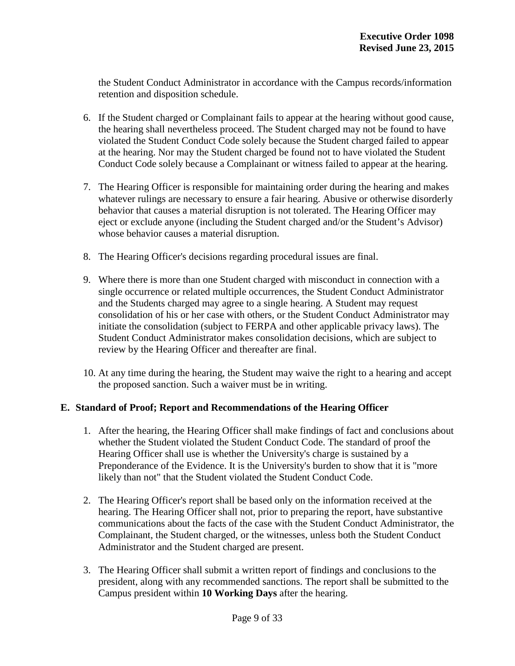the Student Conduct Administrator in accordance with the Campus records/information retention and disposition schedule.

- 6. If the Student charged or Complainant fails to appear at the hearing without good cause, the hearing shall nevertheless proceed. The Student charged may not be found to have violated the Student Conduct Code solely because the Student charged failed to appear at the hearing. Nor may the Student charged be found not to have violated the Student Conduct Code solely because a Complainant or witness failed to appear at the hearing.
- 7. The Hearing Officer is responsible for maintaining order during the hearing and makes whatever rulings are necessary to ensure a fair hearing. Abusive or otherwise disorderly behavior that causes a material disruption is not tolerated. The Hearing Officer may eject or exclude anyone (including the Student charged and/or the Student's Advisor) whose behavior causes a material disruption.
- 8. The Hearing Officer's decisions regarding procedural issues are final.
- 9. Where there is more than one Student charged with misconduct in connection with a single occurrence or related multiple occurrences, the Student Conduct Administrator and the Students charged may agree to a single hearing. A Student may request consolidation of his or her case with others, or the Student Conduct Administrator may initiate the consolidation (subject to FERPA and other applicable privacy laws). The Student Conduct Administrator makes consolidation decisions, which are subject to review by the Hearing Officer and thereafter are final.
- 10. At any time during the hearing, the Student may waive the right to a hearing and accept the proposed sanction. Such a waiver must be in writing.

#### **E. Standard of Proof; Report and Recommendations of the Hearing Officer**

- 1. After the hearing, the Hearing Officer shall make findings of fact and conclusions about whether the Student violated the Student Conduct Code. The standard of proof the Hearing Officer shall use is whether the University's charge is sustained by a Preponderance of the Evidence. It is the University's burden to show that it is "more likely than not" that the Student violated the Student Conduct Code.
- 2. The Hearing Officer's report shall be based only on the information received at the hearing. The Hearing Officer shall not, prior to preparing the report, have substantive communications about the facts of the case with the Student Conduct Administrator, the Complainant, the Student charged, or the witnesses, unless both the Student Conduct Administrator and the Student charged are present.
- 3. The Hearing Officer shall submit a written report of findings and conclusions to the president, along with any recommended sanctions. The report shall be submitted to the Campus president within **10 Working Days** after the hearing.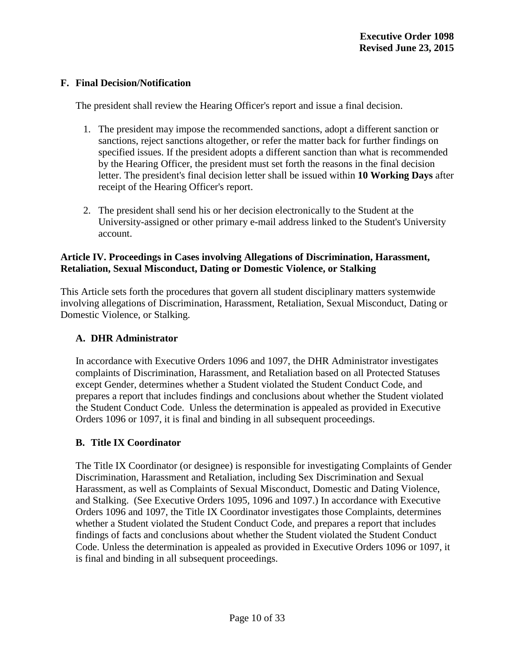# **F. Final Decision/Notification**

The president shall review the Hearing Officer's report and issue a final decision.

- 1. The president may impose the recommended sanctions, adopt a different sanction or sanctions, reject sanctions altogether, or refer the matter back for further findings on specified issues. If the president adopts a different sanction than what is recommended by the Hearing Officer, the president must set forth the reasons in the final decision letter. The president's final decision letter shall be issued within **10 Working Days** after receipt of the Hearing Officer's report.
- 2. The president shall send his or her decision electronically to the Student at the University-assigned or other primary e-mail address linked to the Student's University account.

# **Article IV. Proceedings in Cases involving Allegations of Discrimination, Harassment, Retaliation, Sexual Misconduct, Dating or Domestic Violence, or Stalking**

This Article sets forth the procedures that govern all student disciplinary matters systemwide involving allegations of Discrimination, Harassment, Retaliation, Sexual Misconduct, Dating or Domestic Violence, or Stalking.

# **A. DHR Administrator**

In accordance with Executive Orders 1096 and 1097, the DHR Administrator investigates complaints of Discrimination, Harassment, and Retaliation based on all Protected Statuses except Gender, determines whether a Student violated the Student Conduct Code, and prepares a report that includes findings and conclusions about whether the Student violated the Student Conduct Code. Unless the determination is appealed as provided in Executive Orders 1096 or 1097, it is final and binding in all subsequent proceedings.

# **B. Title IX Coordinator**

The Title IX Coordinator (or designee) is responsible for investigating Complaints of Gender Discrimination, Harassment and Retaliation, including Sex Discrimination and Sexual Harassment, as well as Complaints of Sexual Misconduct, Domestic and Dating Violence, and Stalking. (See Executive Orders 1095, 1096 and 1097.) In accordance with Executive Orders 1096 and 1097, the Title IX Coordinator investigates those Complaints, determines whether a Student violated the Student Conduct Code, and prepares a report that includes findings of facts and conclusions about whether the Student violated the Student Conduct Code. Unless the determination is appealed as provided in Executive Orders 1096 or 1097, it is final and binding in all subsequent proceedings.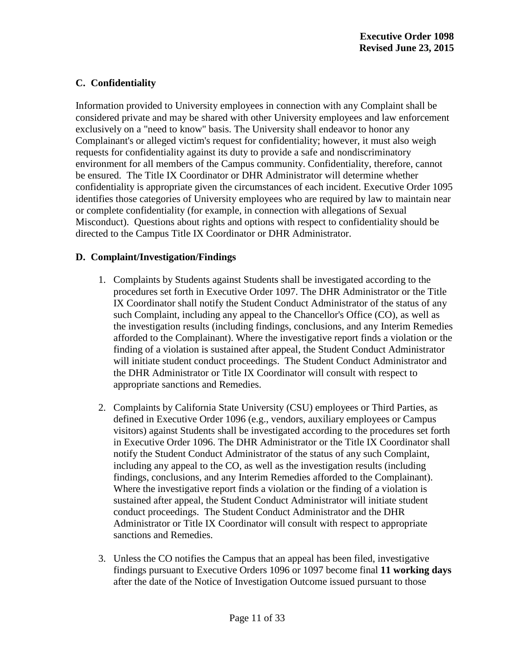# **C. Confidentiality**

Information provided to University employees in connection with any Complaint shall be considered private and may be shared with other University employees and law enforcement exclusively on a "need to know" basis. The University shall endeavor to honor any Complainant's or alleged victim's request for confidentiality; however, it must also weigh requests for confidentiality against its duty to provide a safe and nondiscriminatory environment for all members of the Campus community. Confidentiality, therefore, cannot be ensured. The Title IX Coordinator or DHR Administrator will determine whether confidentiality is appropriate given the circumstances of each incident. Executive Order 1095 identifies those categories of University employees who are required by law to maintain near or complete confidentiality (for example, in connection with allegations of Sexual Misconduct). Questions about rights and options with respect to confidentiality should be directed to the Campus Title IX Coordinator or DHR Administrator.

# **D. Complaint/Investigation/Findings**

- 1. Complaints by Students against Students shall be investigated according to the procedures set forth in Executive Order 1097. The DHR Administrator or the Title IX Coordinator shall notify the Student Conduct Administrator of the status of any such Complaint, including any appeal to the Chancellor's Office (CO), as well as the investigation results (including findings, conclusions, and any Interim Remedies afforded to the Complainant). Where the investigative report finds a violation or the finding of a violation is sustained after appeal, the Student Conduct Administrator will initiate student conduct proceedings. The Student Conduct Administrator and the DHR Administrator or Title IX Coordinator will consult with respect to appropriate sanctions and Remedies.
- 2. Complaints by California State University (CSU) employees or Third Parties, as defined in Executive Order 1096 (e.g., vendors, auxiliary employees or Campus visitors) against Students shall be investigated according to the procedures set forth in Executive Order 1096. The DHR Administrator or the Title IX Coordinator shall notify the Student Conduct Administrator of the status of any such Complaint, including any appeal to the CO, as well as the investigation results (including findings, conclusions, and any Interim Remedies afforded to the Complainant). Where the investigative report finds a violation or the finding of a violation is sustained after appeal, the Student Conduct Administrator will initiate student conduct proceedings. The Student Conduct Administrator and the DHR Administrator or Title IX Coordinator will consult with respect to appropriate sanctions and Remedies.
- 3. Unless the CO notifies the Campus that an appeal has been filed, investigative findings pursuant to Executive Orders 1096 or 1097 become final **11 working days** after the date of the Notice of Investigation Outcome issued pursuant to those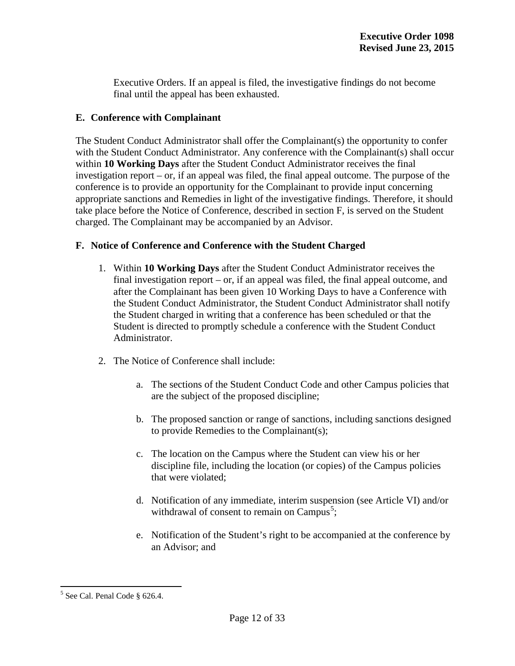Executive Orders. If an appeal is filed, the investigative findings do not become final until the appeal has been exhausted.

# **E. Conference with Complainant**

The Student Conduct Administrator shall offer the Complainant(s) the opportunity to confer with the Student Conduct Administrator. Any conference with the Complainant(s) shall occur within **10 Working Days** after the Student Conduct Administrator receives the final investigation report – or, if an appeal was filed, the final appeal outcome. The purpose of the conference is to provide an opportunity for the Complainant to provide input concerning appropriate sanctions and Remedies in light of the investigative findings. Therefore, it should take place before the Notice of Conference, described in section F, is served on the Student charged. The Complainant may be accompanied by an Advisor.

# **F. Notice of Conference and Conference with the Student Charged**

- 1. Within **10 Working Days** after the Student Conduct Administrator receives the final investigation report – or, if an appeal was filed, the final appeal outcome, and after the Complainant has been given 10 Working Days to have a Conference with the Student Conduct Administrator, the Student Conduct Administrator shall notify the Student charged in writing that a conference has been scheduled or that the Student is directed to promptly schedule a conference with the Student Conduct Administrator.
- 2. The Notice of Conference shall include:
	- a. The sections of the Student Conduct Code and other Campus policies that are the subject of the proposed discipline;
	- b. The proposed sanction or range of sanctions, including sanctions designed to provide Remedies to the Complainant(s);
	- c. The location on the Campus where the Student can view his or her discipline file, including the location (or copies) of the Campus policies that were violated;
	- d. Notification of any immediate, interim suspension (see Article VI) and/or withdrawal of consent to remain on Campus<sup>[5](#page-7-0)</sup>;
	- e. Notification of the Student's right to be accompanied at the conference by an Advisor; and

<span id="page-12-0"></span><sup>5</sup> See Cal. Penal Code § 626.4.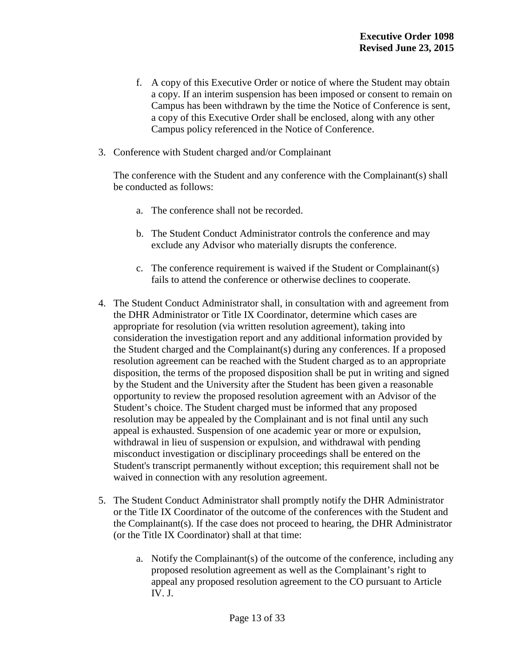- f. A copy of this Executive Order or notice of where the Student may obtain a copy. If an interim suspension has been imposed or consent to remain on Campus has been withdrawn by the time the Notice of Conference is sent, a copy of this Executive Order shall be enclosed, along with any other Campus policy referenced in the Notice of Conference.
- 3. Conference with Student charged and/or Complainant

The conference with the Student and any conference with the Complainant(s) shall be conducted as follows:

- a. The conference shall not be recorded.
- b. The Student Conduct Administrator controls the conference and may exclude any Advisor who materially disrupts the conference.
- c. The conference requirement is waived if the Student or Complainant(s) fails to attend the conference or otherwise declines to cooperate.
- 4. The Student Conduct Administrator shall, in consultation with and agreement from the DHR Administrator or Title IX Coordinator, determine which cases are appropriate for resolution (via written resolution agreement), taking into consideration the investigation report and any additional information provided by the Student charged and the Complainant(s) during any conferences. If a proposed resolution agreement can be reached with the Student charged as to an appropriate disposition, the terms of the proposed disposition shall be put in writing and signed by the Student and the University after the Student has been given a reasonable opportunity to review the proposed resolution agreement with an Advisor of the Student's choice. The Student charged must be informed that any proposed resolution may be appealed by the Complainant and is not final until any such appeal is exhausted. Suspension of one academic year or more or expulsion, withdrawal in lieu of suspension or expulsion, and withdrawal with pending misconduct investigation or disciplinary proceedings shall be entered on the Student's transcript permanently without exception; this requirement shall not be waived in connection with any resolution agreement.
- 5. The Student Conduct Administrator shall promptly notify the DHR Administrator or the Title IX Coordinator of the outcome of the conferences with the Student and the Complainant(s). If the case does not proceed to hearing, the DHR Administrator (or the Title IX Coordinator) shall at that time:
	- a. Notify the Complainant(s) of the outcome of the conference, including any proposed resolution agreement as well as the Complainant's right to appeal any proposed resolution agreement to the CO pursuant to Article IV. J.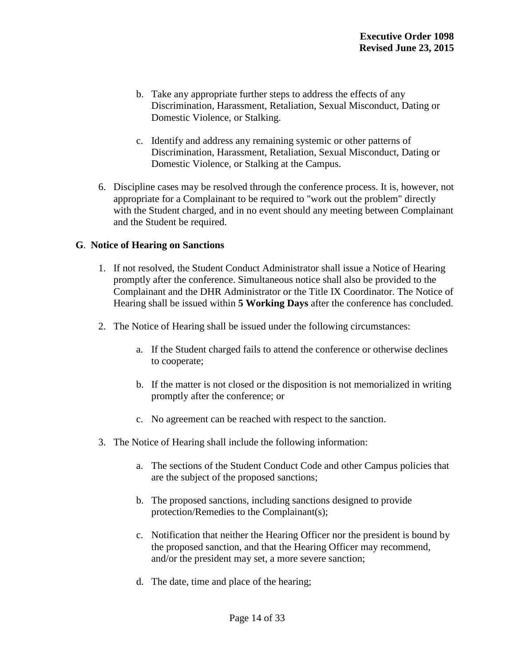- b. Take any appropriate further steps to address the effects of any Discrimination, Harassment, Retaliation, Sexual Misconduct, Dating or Domestic Violence, or Stalking.
- c. Identify and address any remaining systemic or other patterns of Discrimination, Harassment, Retaliation, Sexual Misconduct, Dating or Domestic Violence, or Stalking at the Campus.
- 6. Discipline cases may be resolved through the conference process. It is, however, not appropriate for a Complainant to be required to "work out the problem" directly with the Student charged, and in no event should any meeting between Complainant and the Student be required.

### **G**. **Notice of Hearing on Sanctions**

- 1. If not resolved, the Student Conduct Administrator shall issue a Notice of Hearing promptly after the conference. Simultaneous notice shall also be provided to the Complainant and the DHR Administrator or the Title IX Coordinator. The Notice of Hearing shall be issued within **5 Working Days** after the conference has concluded.
- 2. The Notice of Hearing shall be issued under the following circumstances:
	- a. If the Student charged fails to attend the conference or otherwise declines to cooperate;
	- b. If the matter is not closed or the disposition is not memorialized in writing promptly after the conference; or
	- c. No agreement can be reached with respect to the sanction.
- 3. The Notice of Hearing shall include the following information:
	- a. The sections of the Student Conduct Code and other Campus policies that are the subject of the proposed sanctions;
	- b. The proposed sanctions, including sanctions designed to provide protection/Remedies to the Complainant(s);
	- c. Notification that neither the Hearing Officer nor the president is bound by the proposed sanction, and that the Hearing Officer may recommend, and/or the president may set, a more severe sanction;
	- d. The date, time and place of the hearing;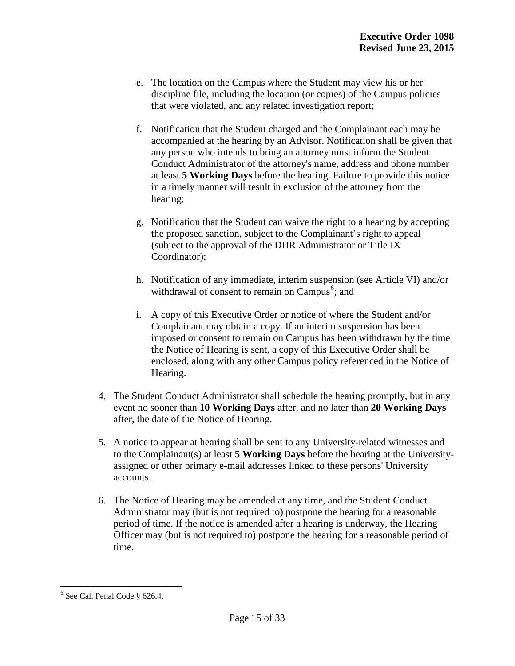- e. The location on the Campus where the Student may view his or her discipline file, including the location (or copies) of the Campus policies that were violated, and any related investigation report;
- f. Notification that the Student charged and the Complainant each may be accompanied at the hearing by an Advisor. Notification shall be given that any person who intends to bring an attorney must inform the Student Conduct Administrator of the attorney's name, address and phone number at least **5 Working Days** before the hearing. Failure to provide this notice in a timely manner will result in exclusion of the attorney from the hearing;
- g. Notification that the Student can waive the right to a hearing by accepting the proposed sanction, subject to the Complainant's right to appeal (subject to the approval of the DHR Administrator or Title IX Coordinator);
- h. Notification of any immediate, interim suspension (see Article VI) and/or withdrawal of consent to remain on Campus<sup>[6](#page-12-0)</sup>; and
- i. A copy of this Executive Order or notice of where the Student and/or Complainant may obtain a copy. If an interim suspension has been imposed or consent to remain on Campus has been withdrawn by the time the Notice of Hearing is sent, a copy of this Executive Order shall be enclosed, along with any other Campus policy referenced in the Notice of Hearing.
- 4. The Student Conduct Administrator shall schedule the hearing promptly, but in any event no sooner than **10 Working Days** after, and no later than **20 Working Days** after, the date of the Notice of Hearing.
- 5. A notice to appear at hearing shall be sent to any University-related witnesses and to the Complainant(s) at least **5 Working Days** before the hearing at the Universityassigned or other primary e-mail addresses linked to these persons' University accounts.
- 6. The Notice of Hearing may be amended at any time, and the Student Conduct Administrator may (but is not required to) postpone the hearing for a reasonable period of time. If the notice is amended after a hearing is underway, the Hearing Officer may (but is not required to) postpone the hearing for a reasonable period of time.

<span id="page-15-0"></span> $6$  See Cal. Penal Code § 626.4.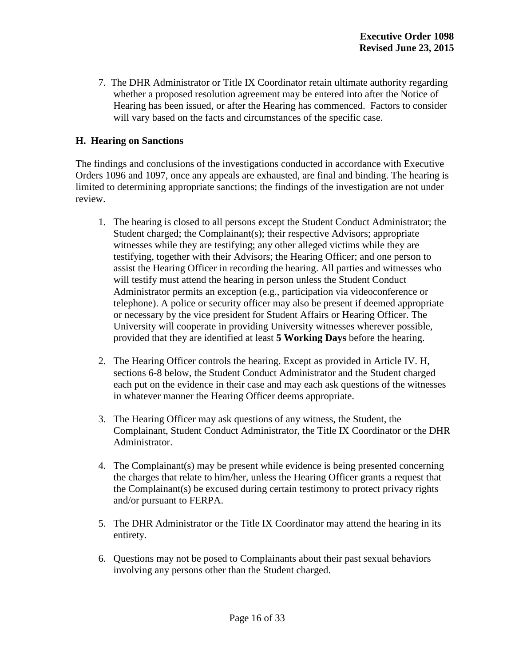7. The DHR Administrator or Title IX Coordinator retain ultimate authority regarding whether a proposed resolution agreement may be entered into after the Notice of Hearing has been issued, or after the Hearing has commenced. Factors to consider will vary based on the facts and circumstances of the specific case.

# **H. Hearing on Sanctions**

The findings and conclusions of the investigations conducted in accordance with Executive Orders 1096 and 1097, once any appeals are exhausted, are final and binding. The hearing is limited to determining appropriate sanctions; the findings of the investigation are not under review.

- 1. The hearing is closed to all persons except the Student Conduct Administrator; the Student charged; the Complainant(s); their respective Advisors; appropriate witnesses while they are testifying; any other alleged victims while they are testifying, together with their Advisors; the Hearing Officer; and one person to assist the Hearing Officer in recording the hearing. All parties and witnesses who will testify must attend the hearing in person unless the Student Conduct Administrator permits an exception (e.g., participation via videoconference or telephone). A police or security officer may also be present if deemed appropriate or necessary by the vice president for Student Affairs or Hearing Officer. The University will cooperate in providing University witnesses wherever possible, provided that they are identified at least **5 Working Days** before the hearing.
- 2. The Hearing Officer controls the hearing. Except as provided in Article IV. H, sections 6-8 below, the Student Conduct Administrator and the Student charged each put on the evidence in their case and may each ask questions of the witnesses in whatever manner the Hearing Officer deems appropriate.
- 3. The Hearing Officer may ask questions of any witness, the Student, the Complainant, Student Conduct Administrator, the Title IX Coordinator or the DHR Administrator.
- 4. The Complainant(s) may be present while evidence is being presented concerning the charges that relate to him/her, unless the Hearing Officer grants a request that the Complainant(s) be excused during certain testimony to protect privacy rights and/or pursuant to FERPA.
- 5. The DHR Administrator or the Title IX Coordinator may attend the hearing in its entirety.
- 6. Questions may not be posed to Complainants about their past sexual behaviors involving any persons other than the Student charged.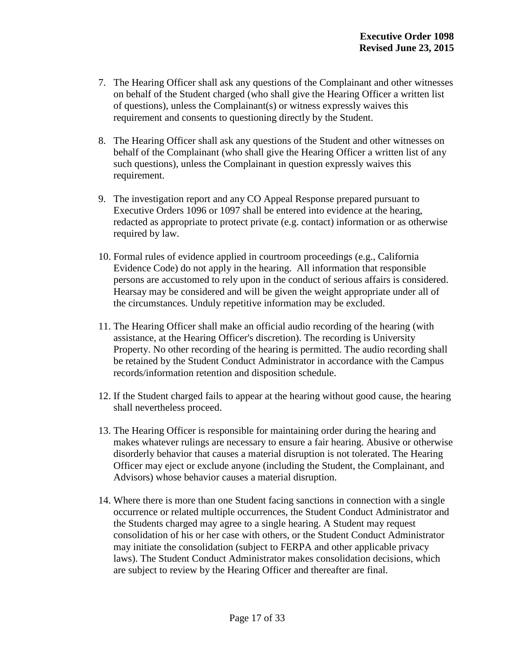- 7. The Hearing Officer shall ask any questions of the Complainant and other witnesses on behalf of the Student charged (who shall give the Hearing Officer a written list of questions), unless the Complainant(s) or witness expressly waives this requirement and consents to questioning directly by the Student.
- 8. The Hearing Officer shall ask any questions of the Student and other witnesses on behalf of the Complainant (who shall give the Hearing Officer a written list of any such questions), unless the Complainant in question expressly waives this requirement.
- 9. The investigation report and any CO Appeal Response prepared pursuant to Executive Orders 1096 or 1097 shall be entered into evidence at the hearing, redacted as appropriate to protect private (e.g. contact) information or as otherwise required by law.
- 10. Formal rules of evidence applied in courtroom proceedings (e.g., California Evidence Code) do not apply in the hearing. All information that responsible persons are accustomed to rely upon in the conduct of serious affairs is considered. Hearsay may be considered and will be given the weight appropriate under all of the circumstances. Unduly repetitive information may be excluded.
- 11. The Hearing Officer shall make an official audio recording of the hearing (with assistance, at the Hearing Officer's discretion). The recording is University Property. No other recording of the hearing is permitted. The audio recording shall be retained by the Student Conduct Administrator in accordance with the Campus records/information retention and disposition schedule.
- 12. If the Student charged fails to appear at the hearing without good cause, the hearing shall nevertheless proceed.
- 13. The Hearing Officer is responsible for maintaining order during the hearing and makes whatever rulings are necessary to ensure a fair hearing. Abusive or otherwise disorderly behavior that causes a material disruption is not tolerated. The Hearing Officer may eject or exclude anyone (including the Student, the Complainant, and Advisors) whose behavior causes a material disruption.
- 14. Where there is more than one Student facing sanctions in connection with a single occurrence or related multiple occurrences, the Student Conduct Administrator and the Students charged may agree to a single hearing. A Student may request consolidation of his or her case with others, or the Student Conduct Administrator may initiate the consolidation (subject to FERPA and other applicable privacy laws). The Student Conduct Administrator makes consolidation decisions, which are subject to review by the Hearing Officer and thereafter are final.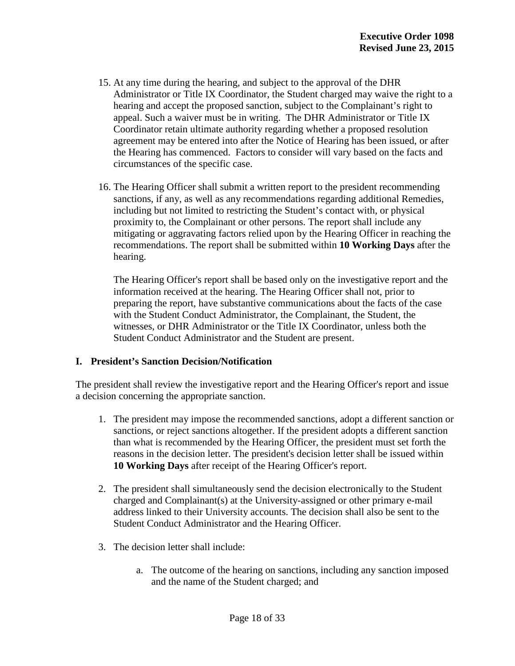- 15. At any time during the hearing, and subject to the approval of the DHR Administrator or Title IX Coordinator, the Student charged may waive the right to a hearing and accept the proposed sanction, subject to the Complainant's right to appeal. Such a waiver must be in writing. The DHR Administrator or Title IX Coordinator retain ultimate authority regarding whether a proposed resolution agreement may be entered into after the Notice of Hearing has been issued, or after the Hearing has commenced. Factors to consider will vary based on the facts and circumstances of the specific case.
- 16. The Hearing Officer shall submit a written report to the president recommending sanctions, if any, as well as any recommendations regarding additional Remedies, including but not limited to restricting the Student's contact with, or physical proximity to, the Complainant or other persons. The report shall include any mitigating or aggravating factors relied upon by the Hearing Officer in reaching the recommendations. The report shall be submitted within **10 Working Days** after the hearing.

 The Hearing Officer's report shall be based only on the investigative report and the information received at the hearing. The Hearing Officer shall not, prior to preparing the report, have substantive communications about the facts of the case with the Student Conduct Administrator, the Complainant, the Student, the witnesses, or DHR Administrator or the Title IX Coordinator, unless both the Student Conduct Administrator and the Student are present.

#### **I. President's Sanction Decision/Notification**

The president shall review the investigative report and the Hearing Officer's report and issue a decision concerning the appropriate sanction.

- 1. The president may impose the recommended sanctions, adopt a different sanction or sanctions, or reject sanctions altogether. If the president adopts a different sanction than what is recommended by the Hearing Officer, the president must set forth the reasons in the decision letter. The president's decision letter shall be issued within **10 Working Days** after receipt of the Hearing Officer's report.
- 2. The president shall simultaneously send the decision electronically to the Student charged and Complainant(s) at the University-assigned or other primary e-mail address linked to their University accounts. The decision shall also be sent to the Student Conduct Administrator and the Hearing Officer.
- 3. The decision letter shall include:
	- a. The outcome of the hearing on sanctions, including any sanction imposed and the name of the Student charged; and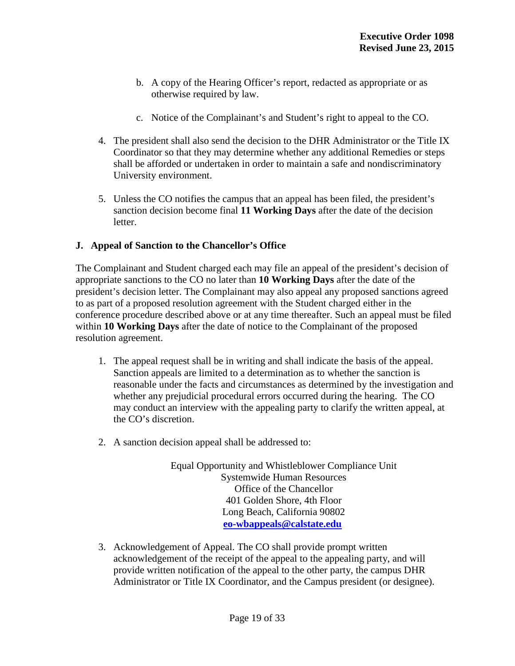- b. A copy of the Hearing Officer's report, redacted as appropriate or as otherwise required by law.
- c. Notice of the Complainant's and Student's right to appeal to the CO.
- 4. The president shall also send the decision to the DHR Administrator or the Title IX Coordinator so that they may determine whether any additional Remedies or steps shall be afforded or undertaken in order to maintain a safe and nondiscriminatory University environment.
- 5. Unless the CO notifies the campus that an appeal has been filed, the president's sanction decision become final **11 Working Days** after the date of the decision letter.

# **J. Appeal of Sanction to the Chancellor's Office**

The Complainant and Student charged each may file an appeal of the president's decision of appropriate sanctions to the CO no later than **10 Working Days** after the date of the president's decision letter. The Complainant may also appeal any proposed sanctions agreed to as part of a proposed resolution agreement with the Student charged either in the conference procedure described above or at any time thereafter. Such an appeal must be filed within **10 Working Days** after the date of notice to the Complainant of the proposed resolution agreement.

- 1. The appeal request shall be in writing and shall indicate the basis of the appeal. Sanction appeals are limited to a determination as to whether the sanction is reasonable under the facts and circumstances as determined by the investigation and whether any prejudicial procedural errors occurred during the hearing. The CO may conduct an interview with the appealing party to clarify the written appeal, at the CO's discretion.
- 2. A sanction decision appeal shall be addressed to:

Equal Opportunity and Whistleblower Compliance Unit Systemwide Human Resources Office of the Chancellor 401 Golden Shore, 4th Floor Long Beach, California 90802 **[eo-wbappeals@calstate.edu](mailto:eo-wbappeals@calstate.edu)**

3. Acknowledgement of Appeal. The CO shall provide prompt written acknowledgement of the receipt of the appeal to the appealing party, and will provide written notification of the appeal to the other party, the campus DHR Administrator or Title IX Coordinator, and the Campus president (or designee).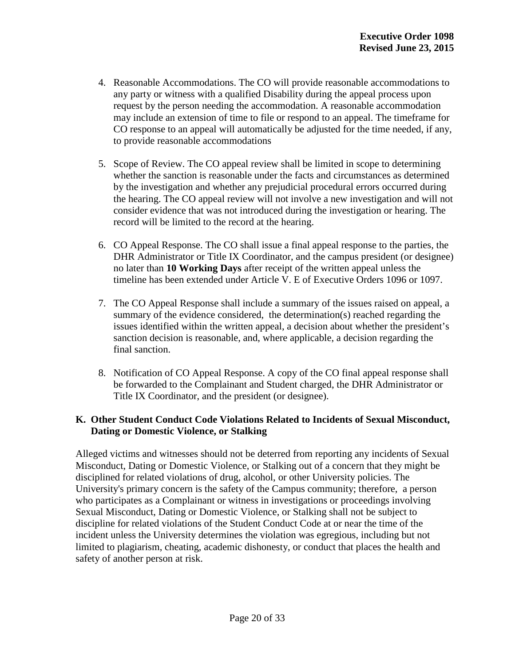- 4. Reasonable Accommodations. The CO will provide reasonable accommodations to any party or witness with a qualified Disability during the appeal process upon request by the person needing the accommodation. A reasonable accommodation may include an extension of time to file or respond to an appeal. The timeframe for CO response to an appeal will automatically be adjusted for the time needed, if any, to provide reasonable accommodations
- 5. Scope of Review. The CO appeal review shall be limited in scope to determining whether the sanction is reasonable under the facts and circumstances as determined by the investigation and whether any prejudicial procedural errors occurred during the hearing. The CO appeal review will not involve a new investigation and will not consider evidence that was not introduced during the investigation or hearing. The record will be limited to the record at the hearing.
- 6. CO Appeal Response. The CO shall issue a final appeal response to the parties, the DHR Administrator or Title IX Coordinator, and the campus president (or designee) no later than **10 Working Days** after receipt of the written appeal unless the timeline has been extended under Article V. E of Executive Orders 1096 or 1097.
- 7. The CO Appeal Response shall include a summary of the issues raised on appeal, a summary of the evidence considered, the determination(s) reached regarding the issues identified within the written appeal, a decision about whether the president's sanction decision is reasonable, and, where applicable, a decision regarding the final sanction.
- 8. Notification of CO Appeal Response. A copy of the CO final appeal response shall be forwarded to the Complainant and Student charged, the DHR Administrator or Title IX Coordinator, and the president (or designee).

# **K. Other Student Conduct Code Violations Related to Incidents of Sexual Misconduct, Dating or Domestic Violence, or Stalking**

Alleged victims and witnesses should not be deterred from reporting any incidents of Sexual Misconduct, Dating or Domestic Violence, or Stalking out of a concern that they might be disciplined for related violations of drug, alcohol, or other University policies. The University's primary concern is the safety of the Campus community; therefore, a person who participates as a Complainant or witness in investigations or proceedings involving Sexual Misconduct, Dating or Domestic Violence, or Stalking shall not be subject to discipline for related violations of the Student Conduct Code at or near the time of the incident unless the University determines the violation was egregious, including but not limited to plagiarism, cheating, academic dishonesty, or conduct that places the health and safety of another person at risk.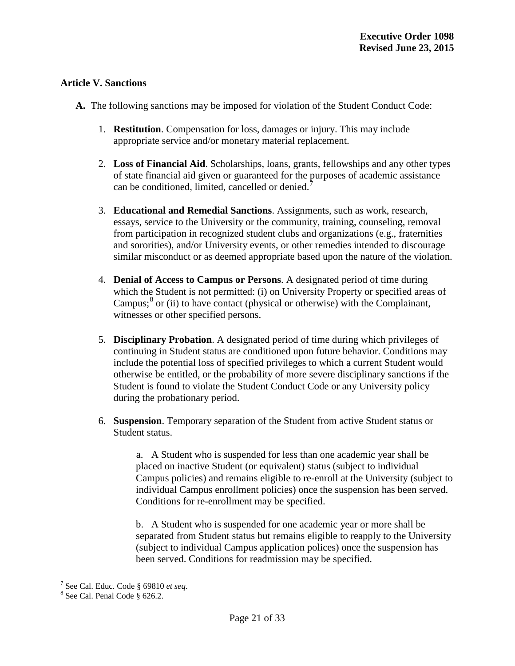# **Article V. Sanctions**

- **A.** The following sanctions may be imposed for violation of the Student Conduct Code:
	- 1. **Restitution**. Compensation for loss, damages or injury. This may include appropriate service and/or monetary material replacement.
	- 2. **Loss of Financial Aid**. Scholarships, loans, grants, fellowships and any other types of state financial aid given or guaranteed for the purposes of academic assistance can be conditioned, limited, cancelled or denied.
	- 3. **Educational and Remedial Sanctions**. Assignments, such as work, research, essays, service to the University or the community, training, counseling, removal from participation in recognized student clubs and organizations (e.g., fraternities and sororities), and/or University events, or other remedies intended to discourage similar misconduct or as deemed appropriate based upon the nature of the violation.
	- 4. **Denial of Access to Campus or Persons**. A designated period of time during which the Student is not permitted: (i) on University Property or specified areas of Campus; $\delta$  or (ii) to have contact (physical or otherwise) with the Complainant, witnesses or other specified persons.
	- 5. **Disciplinary Probation**. A designated period of time during which privileges of continuing in Student status are conditioned upon future behavior. Conditions may include the potential loss of specified privileges to which a current Student would otherwise be entitled, or the probability of more severe disciplinary sanctions if the Student is found to violate the Student Conduct Code or any University policy during the probationary period.
	- 6. **Suspension**. Temporary separation of the Student from active Student status or Student status.

a. A Student who is suspended for less than one academic year shall be placed on inactive Student (or equivalent) status (subject to individual Campus policies) and remains eligible to re-enroll at the University (subject to individual Campus enrollment policies) once the suspension has been served. Conditions for re-enrollment may be specified.

b. A Student who is suspended for one academic year or more shall be separated from Student status but remains eligible to reapply to the University (subject to individual Campus application polices) once the suspension has been served. Conditions for readmission may be specified.

<sup>7</sup> See Cal. Educ. Code § <sup>69810</sup>*et seq*. <sup>8</sup> See Cal. Penal Code § 626.2.

<span id="page-21-0"></span>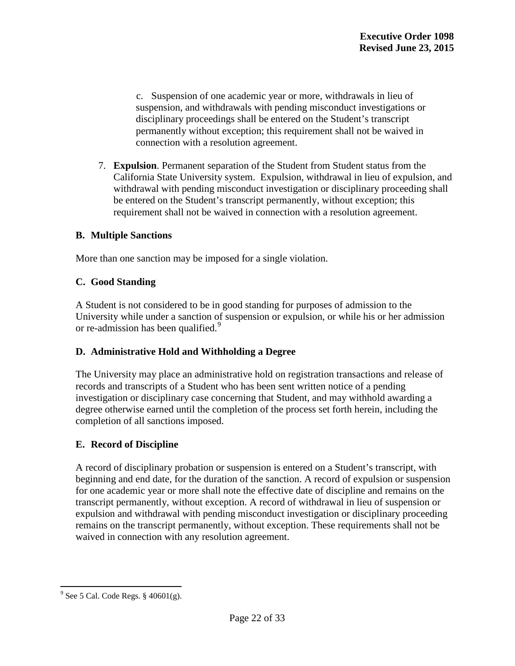c. Suspension of one academic year or more, withdrawals in lieu of suspension, and withdrawals with pending misconduct investigations or disciplinary proceedings shall be entered on the Student's transcript permanently without exception; this requirement shall not be waived in connection with a resolution agreement.

7. **Expulsion**. Permanent separation of the Student from Student status from the California State University system. Expulsion, withdrawal in lieu of expulsion, and withdrawal with pending misconduct investigation or disciplinary proceeding shall be entered on the Student's transcript permanently, without exception; this requirement shall not be waived in connection with a resolution agreement.

# **B. Multiple Sanctions**

More than one sanction may be imposed for a single violation.

# **C. Good Standing**

A Student is not considered to be in good standing for purposes of admission to the University while under a sanction of suspension or expulsion, or while his or her admission or re-admission has been qualified.<sup>[9](#page-21-0)</sup>

# **D. Administrative Hold and Withholding a Degree**

The University may place an administrative hold on registration transactions and release of records and transcripts of a Student who has been sent written notice of a pending investigation or disciplinary case concerning that Student, and may withhold awarding a degree otherwise earned until the completion of the process set forth herein, including the completion of all sanctions imposed.

# **E. Record of Discipline**

A record of disciplinary probation or suspension is entered on a Student's transcript, with beginning and end date, for the duration of the sanction. A record of expulsion or suspension for one academic year or more shall note the effective date of discipline and remains on the transcript permanently, without exception. A record of withdrawal in lieu of suspension or expulsion and withdrawal with pending misconduct investigation or disciplinary proceeding remains on the transcript permanently, without exception. These requirements shall not be waived in connection with any resolution agreement.

<span id="page-22-0"></span> $9^9$  See 5 Cal. Code Regs. § 40601(g).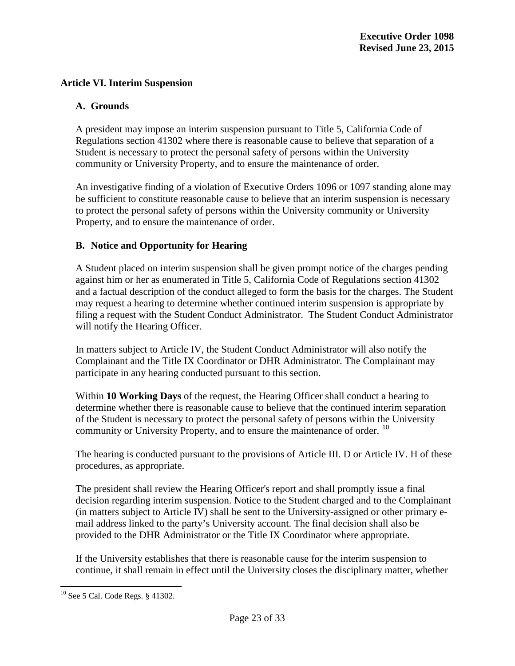### **Article VI. Interim Suspension**

### **A. Grounds**

A president may impose an interim suspension pursuant to Title 5, California Code of Regulations section 41302 where there is reasonable cause to believe that separation of a Student is necessary to protect the personal safety of persons within the University community or University Property, and to ensure the maintenance of order.

An investigative finding of a violation of Executive Orders 1096 or 1097 standing alone may be sufficient to constitute reasonable cause to believe that an interim suspension is necessary to protect the personal safety of persons within the University community or University Property, and to ensure the maintenance of order.

### **B. Notice and Opportunity for Hearing**

A Student placed on interim suspension shall be given prompt notice of the charges pending against him or her as enumerated in Title 5, California Code of Regulations section 41302 and a factual description of the conduct alleged to form the basis for the charges. The Student may request a hearing to determine whether continued interim suspension is appropriate by filing a request with the Student Conduct Administrator. The Student Conduct Administrator will notify the Hearing Officer.

In matters subject to Article IV, the Student Conduct Administrator will also notify the Complainant and the Title IX Coordinator or DHR Administrator. The Complainant may participate in any hearing conducted pursuant to this section.

Within **10 Working Days** of the request, the Hearing Officer shall conduct a hearing to determine whether there is reasonable cause to believe that the continued interim separation of the Student is necessary to protect the personal safety of persons within the University community or University Property, and to ensure the maintenance of order.  $^{10}$  $^{10}$  $^{10}$ 

The hearing is conducted pursuant to the provisions of Article III. D or Article IV. H of these procedures, as appropriate.

The president shall review the Hearing Officer's report and shall promptly issue a final decision regarding interim suspension. Notice to the Student charged and to the Complainant (in matters subject to Article IV) shall be sent to the University-assigned or other primary email address linked to the party's University account. The final decision shall also be provided to the DHR Administrator or the Title IX Coordinator where appropriate.

If the University establishes that there is reasonable cause for the interim suspension to continue, it shall remain in effect until the University closes the disciplinary matter, whether

<span id="page-23-0"></span><sup>10</sup> See 5 Cal. Code Regs. § 41302.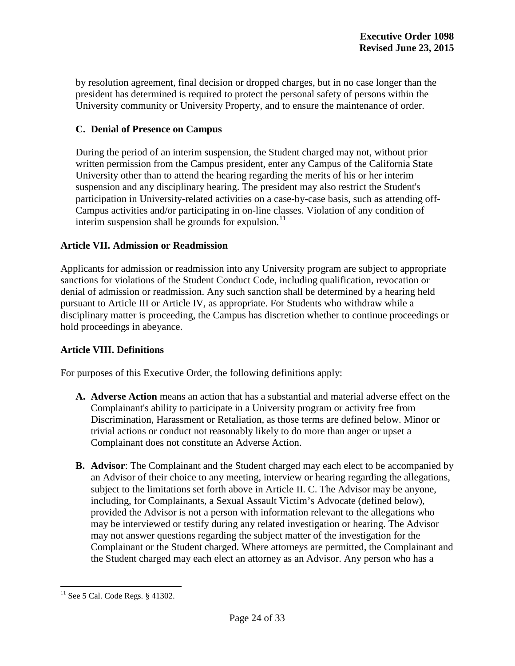by resolution agreement, final decision or dropped charges, but in no case longer than the president has determined is required to protect the personal safety of persons within the University community or University Property, and to ensure the maintenance of order.

# **C. Denial of Presence on Campus**

During the period of an interim suspension, the Student charged may not, without prior written permission from the Campus president, enter any Campus of the California State University other than to attend the hearing regarding the merits of his or her interim suspension and any disciplinary hearing. The president may also restrict the Student's participation in University-related activities on a case-by-case basis, such as attending off-Campus activities and/or participating in on-line classes. Violation of any condition of interim suspension shall be grounds for expulsion.<sup>[11](#page-23-0)</sup>

### **Article VII. Admission or Readmission**

Applicants for admission or readmission into any University program are subject to appropriate sanctions for violations of the Student Conduct Code, including qualification, revocation or denial of admission or readmission. Any such sanction shall be determined by a hearing held pursuant to Article III or Article IV, as appropriate. For Students who withdraw while a disciplinary matter is proceeding, the Campus has discretion whether to continue proceedings or hold proceedings in abeyance.

#### **Article VIII. Definitions**

For purposes of this Executive Order, the following definitions apply:

- **A. Adverse Action** means an action that has a substantial and material adverse effect on the Complainant's ability to participate in a University program or activity free from Discrimination, Harassment or Retaliation, as those terms are defined below. Minor or trivial actions or conduct not reasonably likely to do more than anger or upset a Complainant does not constitute an Adverse Action.
- **B. Advisor**: The Complainant and the Student charged may each elect to be accompanied by an Advisor of their choice to any meeting, interview or hearing regarding the allegations, subject to the limitations set forth above in Article II. C. The Advisor may be anyone, including, for Complainants, a Sexual Assault Victim's Advocate (defined below), provided the Advisor is not a person with information relevant to the allegations who may be interviewed or testify during any related investigation or hearing. The Advisor may not answer questions regarding the subject matter of the investigation for the Complainant or the Student charged. Where attorneys are permitted, the Complainant and the Student charged may each elect an attorney as an Advisor. Any person who has a

<span id="page-24-0"></span><sup>&</sup>lt;sup>11</sup> See 5 Cal. Code Regs. § 41302.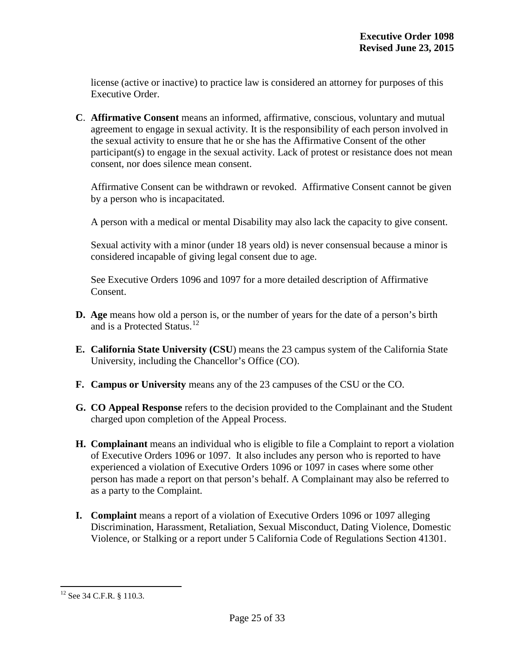license (active or inactive) to practice law is considered an attorney for purposes of this Executive Order.

**C**. **Affirmative Consent** means an informed, affirmative, conscious, voluntary and mutual agreement to engage in sexual activity. It is the responsibility of each person involved in the sexual activity to ensure that he or she has the Affirmative Consent of the other participant(s) to engage in the sexual activity. Lack of protest or resistance does not mean consent, nor does silence mean consent.

Affirmative Consent can be withdrawn or revoked. Affirmative Consent cannot be given by a person who is incapacitated.

A person with a medical or mental Disability may also lack the capacity to give consent.

Sexual activity with a minor (under 18 years old) is never consensual because a minor is considered incapable of giving legal consent due to age.

See Executive Orders 1096 and 1097 for a more detailed description of Affirmative Consent.

- **D. Age** means how old a person is, or the number of years for the date of a person's birth and is a Protected Status. [12](#page-24-0)
- **E. California State University (CSU**) means the 23 campus system of the California State University, including the Chancellor's Office (CO).
- **F. Campus or University** means any of the 23 campuses of the CSU or the CO.
- **G. CO Appeal Response** refers to the decision provided to the Complainant and the Student charged upon completion of the Appeal Process.
- **H. Complainant** means an individual who is eligible to file a Complaint to report a violation of Executive Orders 1096 or 1097. It also includes any person who is reported to have experienced a violation of Executive Orders 1096 or 1097 in cases where some other person has made a report on that person's behalf. A Complainant may also be referred to as a party to the Complaint.
- **I. Complaint** means a report of a violation of Executive Orders 1096 or 1097 alleging Discrimination, Harassment, Retaliation, Sexual Misconduct, Dating Violence, Domestic Violence, or Stalking or a report under 5 California Code of Regulations Section 41301.

<span id="page-25-0"></span><sup>&</sup>lt;sup>12</sup> See 34 C.F.R. § 110.3.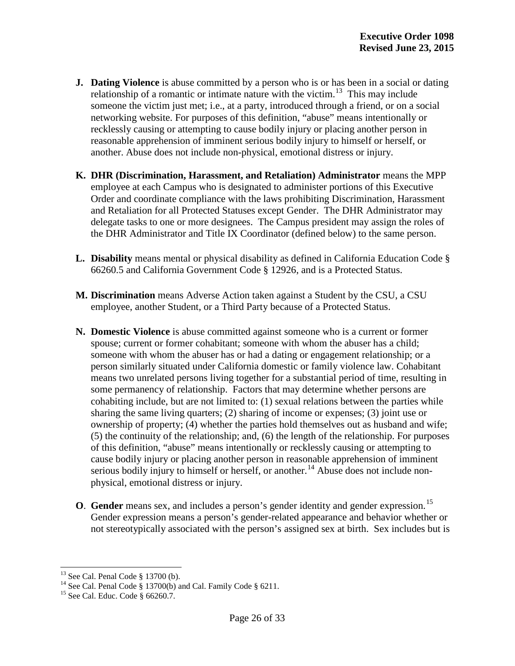- **J. Dating Violence** is abuse committed by a person who is or has been in a social or dating relationship of a romantic or intimate nature with the victim.<sup>[13](#page-25-0)</sup> This may include someone the victim just met; i.e., at a party, introduced through a friend, or on a social networking website. For purposes of this definition, "abuse" means intentionally or recklessly causing or attempting to cause bodily injury or placing another person in reasonable apprehension of imminent serious bodily injury to himself or herself, or another. Abuse does not include non-physical, emotional distress or injury.
- **K. DHR (Discrimination, Harassment, and Retaliation) Administrator** means the MPP employee at each Campus who is designated to administer portions of this Executive Order and coordinate compliance with the laws prohibiting Discrimination, Harassment and Retaliation for all Protected Statuses except Gender. The DHR Administrator may delegate tasks to one or more designees. The Campus president may assign the roles of the DHR Administrator and Title IX Coordinator (defined below) to the same person.
- **L. Disability** means mental or physical disability as defined in California Education Code § 66260.5 and California Government Code § 12926, and is a Protected Status.
- **M. Discrimination** means Adverse Action taken against a Student by the CSU, a CSU employee, another Student, or a Third Party because of a Protected Status.
- **N. Domestic Violence** is abuse committed against someone who is a current or former spouse; current or former cohabitant; someone with whom the abuser has a child; someone with whom the abuser has or had a dating or engagement relationship; or a person similarly situated under California domestic or family violence law. Cohabitant means two unrelated persons living together for a substantial period of time, resulting in some permanency of relationship. Factors that may determine whether persons are cohabiting include, but are not limited to: (1) sexual relations between the parties while sharing the same living quarters; (2) sharing of income or expenses; (3) joint use or ownership of property; (4) whether the parties hold themselves out as husband and wife; (5) the continuity of the relationship; and, (6) the length of the relationship. For purposes of this definition, "abuse" means intentionally or recklessly causing or attempting to cause bodily injury or placing another person in reasonable apprehension of imminent serious bodily injury to himself or herself, or another.<sup>[14](#page-26-0)</sup> Abuse does not include nonphysical, emotional distress or injury.
- **O**. **Gender** means sex, and includes a person's gender identity and gender expression.<sup>[15](#page-26-1)</sup> Gender expression means a person's gender-related appearance and behavior whether or not stereotypically associated with the person's assigned sex at birth. Sex includes but is

<span id="page-26-0"></span><sup>&</sup>lt;sup>13</sup> See Cal. Penal Code § 13700 (b).<br><sup>14</sup> See Cal. Penal Code § 13700(b) and Cal. Family Code § 6211.<br><sup>15</sup> See Cal. Educ. Code § 66260.7.

<span id="page-26-1"></span>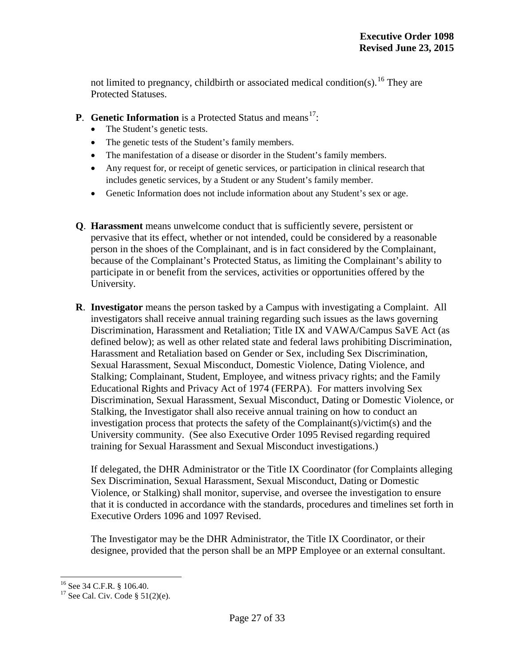not limited to pregnancy, childbirth or associated medical condition(s).<sup>[16](#page-26-0)</sup> They are Protected Statuses.

- **P. Genetic Information** is a Protected Status and means<sup>17</sup>:
	- The Student's genetic tests.
	- The genetic tests of the Student's family members.
	- The manifestation of a disease or disorder in the Student's family members.
	- Any request for, or receipt of genetic services, or participation in clinical research that includes genetic services, by a Student or any Student's family member.
	- Genetic Information does not include information about any Student's sex or age.
- **Q**. **Harassment** means unwelcome conduct that is sufficiently severe, persistent or pervasive that its effect, whether or not intended, could be considered by a reasonable person in the shoes of the Complainant, and is in fact considered by the Complainant, because of the Complainant's Protected Status, as limiting the Complainant's ability to participate in or benefit from the services, activities or opportunities offered by the University.
- **R**. **Investigator** means the person tasked by a Campus with investigating a Complaint. All investigators shall receive annual training regarding such issues as the laws governing Discrimination, Harassment and Retaliation; Title IX and VAWA/Campus SaVE Act (as defined below); as well as other related state and federal laws prohibiting Discrimination, Harassment and Retaliation based on Gender or Sex, including Sex Discrimination, Sexual Harassment, Sexual Misconduct, Domestic Violence, Dating Violence, and Stalking; Complainant, Student, Employee, and witness privacy rights; and the Family Educational Rights and Privacy Act of 1974 (FERPA). For matters involving Sex Discrimination, Sexual Harassment, Sexual Misconduct, Dating or Domestic Violence, or Stalking, the Investigator shall also receive annual training on how to conduct an investigation process that protects the safety of the Complainant(s)/victim(s) and the University community. (See also Executive Order 1095 Revised regarding required training for Sexual Harassment and Sexual Misconduct investigations.)

If delegated, the DHR Administrator or the Title IX Coordinator (for Complaints alleging Sex Discrimination, Sexual Harassment, Sexual Misconduct, Dating or Domestic Violence, or Stalking) shall monitor, supervise, and oversee the investigation to ensure that it is conducted in accordance with the standards, procedures and timelines set forth in Executive Orders 1096 and 1097 Revised.

The Investigator may be the DHR Administrator, the Title IX Coordinator, or their designee, provided that the person shall be an MPP Employee or an external consultant.

<span id="page-27-1"></span><span id="page-27-0"></span><sup>&</sup>lt;sup>16</sup> See 34 C.F.R. § 106.40.<br><sup>17</sup> See Cal. Civ. Code § 51(2)(e).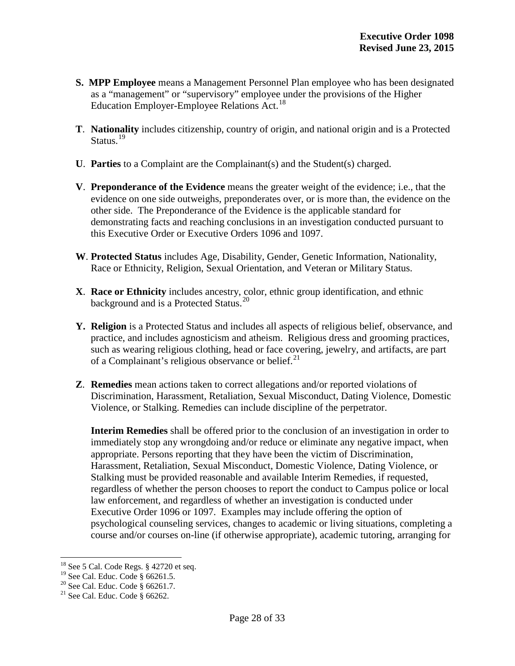- **S. MPP Employee** means a Management Personnel Plan employee who has been designated as a "management" or "supervisory" employee under the provisions of the Higher Education Employer-Employee Relations Act.<sup>[18](#page-27-1)</sup>
- **T**. **Nationality** includes citizenship, country of origin, and national origin and is a Protected Status.<sup>[19](#page-28-0)</sup>
- **U**. **Parties** to a Complaint are the Complainant(s) and the Student(s) charged.
- **V**. **Preponderance of the Evidence** means the greater weight of the evidence; i.e., that the evidence on one side outweighs, preponderates over, or is more than, the evidence on the other side. The Preponderance of the Evidence is the applicable standard for demonstrating facts and reaching conclusions in an investigation conducted pursuant to this Executive Order or Executive Orders 1096 and 1097.
- **W**. **Protected Status** includes Age, Disability, Gender, Genetic Information, Nationality, Race or Ethnicity, Religion, Sexual Orientation, and Veteran or Military Status.
- **X**. **Race or Ethnicity** includes ancestry, color, ethnic group identification, and ethnic background and is a Protected Status.<sup>[20](#page-28-1)</sup>
- **Y. Religion** is a Protected Status and includes all aspects of religious belief, observance, and practice, and includes agnosticism and atheism. Religious dress and grooming practices, such as wearing religious clothing, head or face covering, jewelry, and artifacts, are part of a Complainant's religious observance or belief. $^{21}$  $^{21}$  $^{21}$
- **Z**. **Remedies** mean actions taken to correct allegations and/or reported violations of Discrimination, Harassment, Retaliation, Sexual Misconduct, Dating Violence, Domestic Violence, or Stalking. Remedies can include discipline of the perpetrator.

**Interim Remedies** shall be offered prior to the conclusion of an investigation in order to immediately stop any wrongdoing and/or reduce or eliminate any negative impact, when appropriate. Persons reporting that they have been the victim of Discrimination, Harassment, Retaliation, Sexual Misconduct, Domestic Violence, Dating Violence, or Stalking must be provided reasonable and available Interim Remedies, if requested, regardless of whether the person chooses to report the conduct to Campus police or local law enforcement, and regardless of whether an investigation is conducted under Executive Order 1096 or 1097. Examples may include offering the option of psychological counseling services, changes to academic or living situations, completing a course and/or courses on-line (if otherwise appropriate), academic tutoring, arranging for

<sup>&</sup>lt;sup>18</sup> See 5 Cal. Code Regs. § 42720 et seq.<br><sup>19</sup> See Cal. Educ. Code § 66261.5.

<span id="page-28-1"></span><span id="page-28-0"></span><sup>&</sup>lt;sup>20</sup> See Cal. Educ. Code § 66261.7. <sup>21</sup> See Cal. Educ. Code § 66262.

<span id="page-28-2"></span>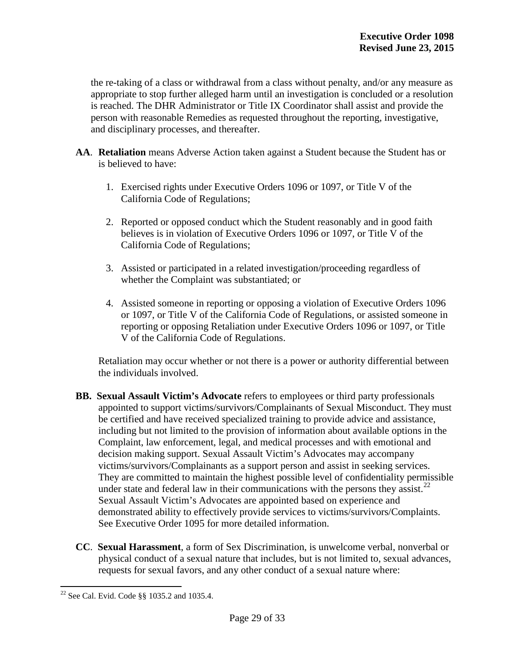the re-taking of a class or withdrawal from a class without penalty, and/or any measure as appropriate to stop further alleged harm until an investigation is concluded or a resolution is reached. The DHR Administrator or Title IX Coordinator shall assist and provide the person with reasonable Remedies as requested throughout the reporting, investigative, and disciplinary processes, and thereafter.

- **AA**. **Retaliation** means Adverse Action taken against a Student because the Student has or is believed to have:
	- 1. Exercised rights under Executive Orders 1096 or 1097, or Title V of the California Code of Regulations;
	- 2. Reported or opposed conduct which the Student reasonably and in good faith believes is in violation of Executive Orders 1096 or 1097, or Title V of the California Code of Regulations;
	- 3. Assisted or participated in a related investigation/proceeding regardless of whether the Complaint was substantiated; or
	- 4. Assisted someone in reporting or opposing a violation of Executive Orders 1096 or 1097, or Title V of the California Code of Regulations, or assisted someone in reporting or opposing Retaliation under Executive Orders 1096 or 1097, or Title V of the California Code of Regulations.

Retaliation may occur whether or not there is a power or authority differential between the individuals involved.

- **BB. Sexual Assault Victim's Advocate** refers to employees or third party professionals appointed to support victims/survivors/Complainants of Sexual Misconduct. They must be certified and have received specialized training to provide advice and assistance, including but not limited to the provision of information about available options in the Complaint, law enforcement, legal, and medical processes and with emotional and decision making support. Sexual Assault Victim's Advocates may accompany victims/survivors/Complainants as a support person and assist in seeking services. They are committed to maintain the highest possible level of confidentiality permissible under state and federal law in their communications with the persons they assist.<sup>[22](#page-28-2)</sup> Sexual Assault Victim's Advocates are appointed based on experience and demonstrated ability to effectively provide services to victims/survivors/Complaints. See Executive Order 1095 for more detailed information.
- **CC**. **Sexual Harassment**, a form of Sex Discrimination, is unwelcome verbal, nonverbal or physical conduct of a sexual nature that includes, but is not limited to, sexual advances, requests for sexual favors, and any other conduct of a sexual nature where:

<span id="page-29-0"></span><sup>22</sup> See Cal. Evid. Code §§ 1035.2 and 1035.4.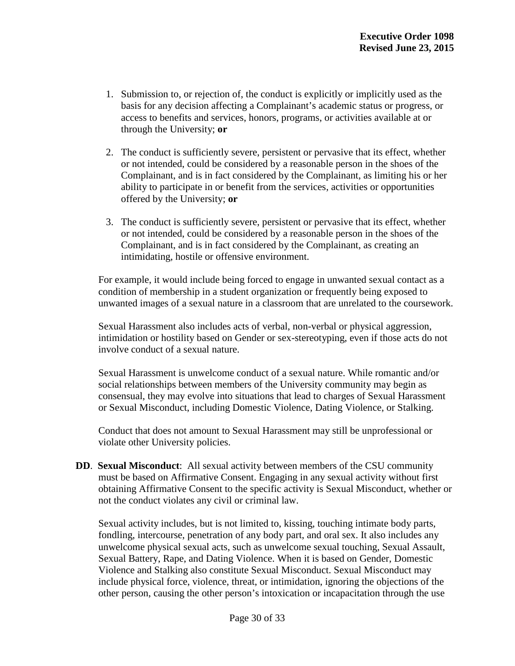- 1. Submission to, or rejection of, the conduct is explicitly or implicitly used as the basis for any decision affecting a Complainant's academic status or progress, or access to benefits and services, honors, programs, or activities available at or through the University; **or**
- 2. The conduct is sufficiently severe, persistent or pervasive that its effect, whether or not intended, could be considered by a reasonable person in the shoes of the Complainant, and is in fact considered by the Complainant, as limiting his or her ability to participate in or benefit from the services, activities or opportunities offered by the University; **or**
- 3. The conduct is sufficiently severe, persistent or pervasive that its effect, whether or not intended, could be considered by a reasonable person in the shoes of the Complainant, and is in fact considered by the Complainant, as creating an intimidating, hostile or offensive environment.

For example, it would include being forced to engage in unwanted sexual contact as a condition of membership in a student organization or frequently being exposed to unwanted images of a sexual nature in a classroom that are unrelated to the coursework.

Sexual Harassment also includes acts of verbal, non-verbal or physical aggression, intimidation or hostility based on Gender or sex-stereotyping, even if those acts do not involve conduct of a sexual nature.

Sexual Harassment is unwelcome conduct of a sexual nature. While romantic and/or social relationships between members of the University community may begin as consensual, they may evolve into situations that lead to charges of Sexual Harassment or Sexual Misconduct, including Domestic Violence, Dating Violence, or Stalking.

Conduct that does not amount to Sexual Harassment may still be unprofessional or violate other University policies.

**DD**. **Sexual Misconduct**: All sexual activity between members of the CSU community must be based on Affirmative Consent. Engaging in any sexual activity without first obtaining Affirmative Consent to the specific activity is Sexual Misconduct, whether or not the conduct violates any civil or criminal law.

Sexual activity includes, but is not limited to, kissing, touching intimate body parts, fondling, intercourse, penetration of any body part, and oral sex. It also includes any unwelcome physical sexual acts, such as unwelcome sexual touching, Sexual Assault, Sexual Battery, Rape, and Dating Violence. When it is based on Gender, Domestic Violence and Stalking also constitute Sexual Misconduct. Sexual Misconduct may include physical force, violence, threat, or intimidation, ignoring the objections of the other person, causing the other person's intoxication or incapacitation through the use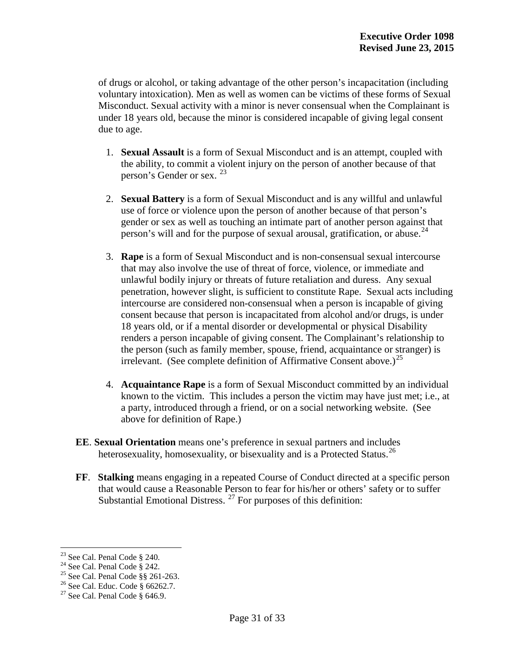of drugs or alcohol, or taking advantage of the other person's incapacitation (including voluntary intoxication). Men as well as women can be victims of these forms of Sexual Misconduct. Sexual activity with a minor is never consensual when the Complainant is under 18 years old, because the minor is considered incapable of giving legal consent due to age.

- 1. **Sexual Assault** is a form of Sexual Misconduct and is an attempt, coupled with the ability, to commit a violent injury on the person of another because of that person's Gender or sex. [23](#page-29-0)
- 2. **Sexual Battery** is a form of Sexual Misconduct and is any willful and unlawful use of force or violence upon the person of another because of that person's gender or sex as well as touching an intimate part of another person against that person's will and for the purpose of sexual arousal, gratification, or abuse.<sup>[24](#page-31-0)</sup>
- 3. **Rape** is a form of Sexual Misconduct and is non-consensual sexual intercourse that may also involve the use of threat of force, violence, or immediate and unlawful bodily injury or threats of future retaliation and duress. Any sexual penetration, however slight, is sufficient to constitute Rape. Sexual acts including intercourse are considered non-consensual when a person is incapable of giving consent because that person is incapacitated from alcohol and/or drugs, is under 18 years old, or if a mental disorder or developmental or physical Disability renders a person incapable of giving consent. The Complainant's relationship to the person (such as family member, spouse, friend, acquaintance or stranger) is irrelevant. (See complete definition of Affirmative Consent above.)<sup>[25](#page-31-1)</sup>
- 4. **Acquaintance Rape** is a form of Sexual Misconduct committed by an individual known to the victim. This includes a person the victim may have just met; i.e., at a party, introduced through a friend, or on a social networking website. (See above for definition of Rape.)
- **EE**. **Sexual Orientation** means one's preference in sexual partners and includes heterosexuality, homosexuality, or bisexuality and is a Protected Status.<sup>[26](#page-31-2)</sup>
- **FF**. **Stalking** means engaging in a repeated Course of Conduct directed at a specific person that would cause a Reasonable Person to fear for his/her or others' safety or to suffer Substantial Emotional Distress.  $27$  For purposes of this definition:

<span id="page-31-0"></span><sup>&</sup>lt;sup>23</sup> See Cal. Penal Code § 240.<br><sup>24</sup> See Cal. Penal Code § 242.<br><sup>25</sup> See Cal. Penal Code §§ 261-263.<br><sup>26</sup> See Cal. Educ. Code § 66262.7.<br><sup>27</sup> See Cal. Penal Code § 646.9.

<span id="page-31-2"></span><span id="page-31-1"></span>

<span id="page-31-3"></span>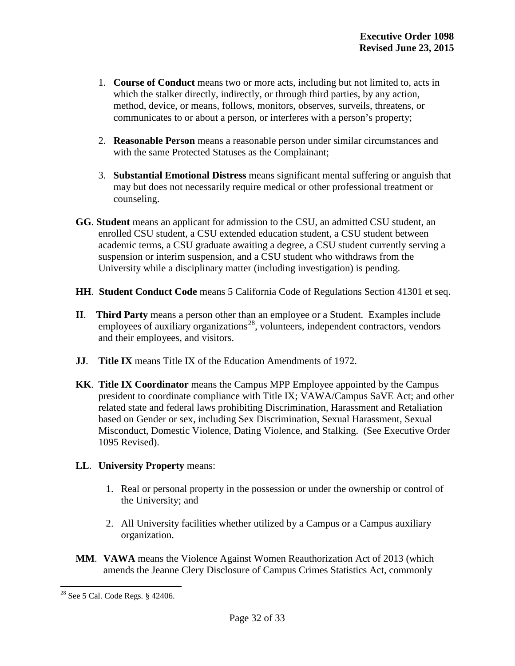- 1. **Course of Conduct** means two or more acts, including but not limited to, acts in which the stalker directly, indirectly, or through third parties, by any action, method, device, or means, follows, monitors, observes, surveils, threatens, or communicates to or about a person, or interferes with a person's property;
- 2. **Reasonable Person** means a reasonable person under similar circumstances and with the same Protected Statuses as the Complainant;
- 3. **Substantial Emotional Distress** means significant mental suffering or anguish that may but does not necessarily require medical or other professional treatment or counseling.
- **GG**. **Student** means an applicant for admission to the CSU, an admitted CSU student, an enrolled CSU student, a CSU extended education student, a CSU student between academic terms, a CSU graduate awaiting a degree, a CSU student currently serving a suspension or interim suspension, and a CSU student who withdraws from the University while a disciplinary matter (including investigation) is pending.
- **HH**. **Student Conduct Code** means 5 California Code of Regulations Section 41301 et seq.
- **II**. **Third Party** means a person other than an employee or a Student. Examples include employees of auxiliary organizations<sup>[28](#page-31-3)</sup>, volunteers, independent contractors, vendors and their employees, and visitors.
- **JJ**. **Title IX** means Title IX of the Education Amendments of 1972.
- **KK**. **Title IX Coordinator** means the Campus MPP Employee appointed by the Campus president to coordinate compliance with Title IX; VAWA/Campus SaVE Act; and other related state and federal laws prohibiting Discrimination, Harassment and Retaliation based on Gender or sex, including Sex Discrimination, Sexual Harassment, Sexual Misconduct, Domestic Violence, Dating Violence, and Stalking. (See Executive Order 1095 Revised).

#### **LL**. **University Property** means:

- 1. Real or personal property in the possession or under the ownership or control of the University; and
- 2. All University facilities whether utilized by a Campus or a Campus auxiliary organization.
- **MM**. **VAWA** means the Violence Against Women Reauthorization Act of 2013 (which amends the Jeanne Clery Disclosure of Campus Crimes Statistics Act, commonly

<sup>28</sup> See 5 Cal. Code Regs. § 42406.